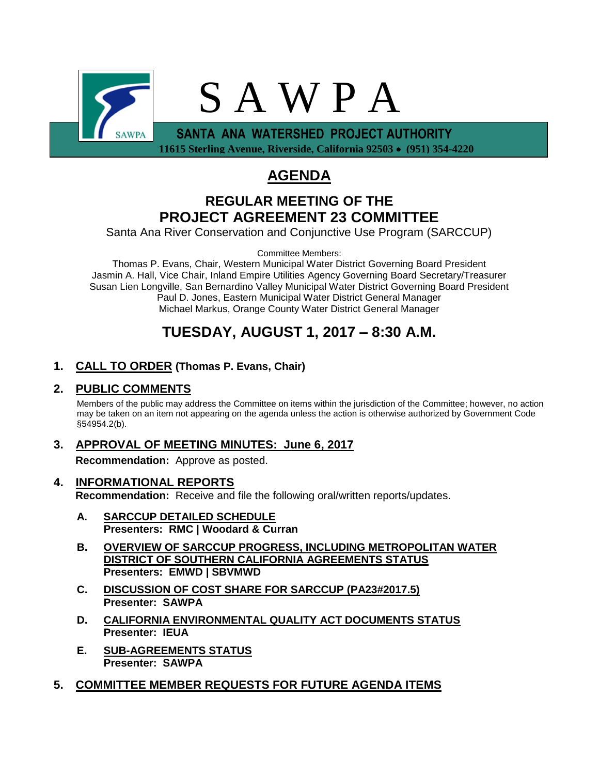

 **11615 Sterling Avenue, Riverside, California 92503 (951) 354-4220**

# **AGENDA**

# **REGULAR MEETING OF THE PROJECT AGREEMENT 23 COMMITTEE**

Santa Ana River Conservation and Conjunctive Use Program (SARCCUP)

Committee Members:

Thomas P. Evans, Chair, Western Municipal Water District Governing Board President Jasmin A. Hall, Vice Chair, Inland Empire Utilities Agency Governing Board Secretary/Treasurer Susan Lien Longville, San Bernardino Valley Municipal Water District Governing Board President Paul D. Jones, Eastern Municipal Water District General Manager Michael Markus, Orange County Water District General Manager

# **TUESDAY, AUGUST 1, 2017 – 8:30 A.M.**

## **1. CALL TO ORDER (Thomas P. Evans, Chair)**

## **2. PUBLIC COMMENTS**

Members of the public may address the Committee on items within the jurisdiction of the Committee; however, no action may be taken on an item not appearing on the agenda unless the action is otherwise authorized by Government Code §54954.2(b).

## **3. APPROVAL OF MEETING MINUTES: June 6, 2017**

**Recommendation:** Approve as posted.

- **4. INFORMATIONAL REPORTS Recommendation:** Receive and file the following oral/written reports/updates.
	- **A. SARCCUP DETAILED SCHEDULE Presenters: RMC | Woodard & Curran**
	- **B. OVERVIEW OF SARCCUP PROGRESS, INCLUDING METROPOLITAN WATER DISTRICT OF SOUTHERN CALIFORNIA AGREEMENTS STATUS Presenters: EMWD | SBVMWD**
	- **C. DISCUSSION OF COST SHARE FOR SARCCUP (PA23#2017.5) Presenter: SAWPA**
	- **D. CALIFORNIA ENVIRONMENTAL QUALITY ACT DOCUMENTS STATUS Presenter: IEUA**
	- **E. SUB-AGREEMENTS STATUS Presenter: SAWPA**
- **5. COMMITTEE MEMBER REQUESTS FOR FUTURE AGENDA ITEMS**